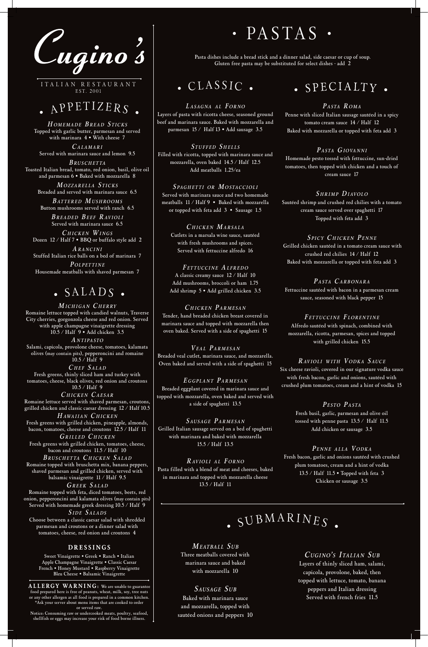

ITALIAN RESTAURANT EST. 2001

#### $\bullet$ <sup>A</sup>PPETIZER<sup>S</sup> •

*H OMEMADE B READ S TICKS* Topped with garlic butter, parmesan and served with marinara 4 • With cheese 7

*C ALAMARI* Served with marinara sauce and lemon 9.5

*B RUSCHETTA* Toasted Italian bread, tomato, red onion, basil, olive oil and parmesan 6 • Baked with mozzarella 8

> *MOZZARELLA S TICKS* Breaded and served with marinara sauce 6.5

*B ATTERED MUSHROOMS* Button mushrooms served with ranch 6.5

*B READED BEEF RAVIOLI* Served with marinara sauce 6.5

*C HICKEN WINGS* Dozen 12 / Half 7 • BBQ or buffalo style add 2

*A RANCINI* Stuffed Italian rice balls on a bed of marinara 7

*P OLPETTINE* Housemade meatballs with shaved parmesan 7

## $\bullet$  SALADS  $\bullet$

*C UGINO' S I TALIAN S UB* Layers of thinly sliced ham, salami, capicola, provolone, baked, then topped with lettuce, tomato, banana peppers and Italian dressing Served with french fries 11.5

*MEATBALL S UB* Three meatballs covered with marinara sauce and baked with mozzarella 10

*SAUSAGE S UB* Baked with marinara sauce and mozzarella, topped with sautéed onions and peppers 10

*L ASAGNA AL F ORNO* Layers of pasta with ricotta cheese, seasoned ground beef and marinara sauce. Baked with mozzarella and parmesan 15 / Half 13 • Add sausage 3.5

*S TUFFED S HELLS* Filled with ricotta, topped with marinara sauce and mozzarella, oven baked 14.5 / Half 12.5 Add meatballs 1.25/ea

*S PAGHETTI OR MOSTACCIOLI* Served with marinara sauce and two homemade meatballs 11 / Half 9 • Baked with mozzarella or topped with feta add 3 • Sausage 1.5

*C HICKEN MARSALA* Cutlets in a marsala wine sauce, sautéed with fresh mushrooms and spices. Served with fettuccine alfredo 16

*F ETTUCCINE ALFREDO* A classic creamy sauce 12 / Half 10 Add mushrooms, broccoli or ham 1.75 Add shrimp 5 • Add grilled chicken 3.5

*C HICKEN P ARMESAN* Tender, hand breaded chicken breast covered in marinara sauce and topped with mozzarella then oven baked. Served with a side of spaghetti 15

*VEAL P ARMESAN* Breaded veal cutlet, marinara sauce, and mozzarella. Oven baked and served with a side of spaghetti 15

*E GGPLANT P ARMESAN* Breaded eggplant covered in marinara sauce and topped with mozzarella, oven baked and served with a side of spaghetti 13.5

*S AUSAGE P ARMESAN* Grilled Italian sausage served on a bed of spaghetti with marinara and baked with mozzarella 15.5 / Half 13.5

### . SPECIALTY.

*RAVIOLI AL F ORNO* Pasta filled with a blend of meat and cheeses, baked in marinara and topped with mozzarella cheese 13.5 / Half 11

*P ASTA R OMA* Penne with sliced Italian sausage sautéed in a spicy tomato cream sauce 14 / Half 12 Baked with mozzarella or topped with feta add 3

#### *P ASTA GIOVANNI*

Homemade pesto tossed with fettuccine, sun-dried tomatoes, then topped with chicken and a touch of cream sauce 17

*S HRIMP DIAVOLO* Sautéed shrimp and crushed red chilies with a tomato cream sauce served over spaghetti 17 Topped with feta add 3

*S PICY C HICKEN P ENNE* Grilled chicken sautéed in a tomato cream sauce with crushed red chilies 14 / Half 12 Baked with mozzarella or topped with feta add 3

*P ASTA C ARBONARA* Fettuccine sautéed with bacon in a parmesan cream sauce, seasoned with black pepper 15

*F ETTUCCINE F LORENTINE* Alfredo sautéed with spinach, combined with mozzarella, ricotta, parmesan, spices and topped with grilled chicken 15.5

*RAVIOLI WITH V ODKA S AUCE* Six cheese ravioli, covered in our signature vodka sauce with fresh bacon, garlic and onions, sautéed with crushed plum tomatoes, cream and a hint of vodka 15

> *P ESTO P ASTA* Fresh basil, garlic, parmesan and olive oil tossed with penne pasta 13.5 / Half 11.5 Add chicken or sausage 3.5

*P ENNE ALLA V ODKA*

Fresh bacon, garlic and onions sautéed with crushed plum tomatoes, cream and a hint of vodka 13.5 / Half 11.5 • Topped with feta 3 Chicken or sausage 3.5

 $\blacksquare$  SUBMARINES  $\blacksquare$ 

*MICHIGAN C HERRY* Romaine lettuce topped with candied walnuts, Traverse City cherries, gorgonzola cheese and red onion. Served with apple champagne vinaigrette dressing 10.5 / Half 9 • Add chicken 3.5

*A NTIPASTO* Salami, capicola, provolone cheese, tomatoes, kalamata olives (may contain pits), pepperoncini and romaine 10.5 / Half 9

*C HEF S ALAD* Fresh greens, thinly sliced ham and turkey with tomatoes, cheese, black olives, red onion and croutons 10.5 / Half 9

*C HICKEN C AESAR* Romaine lettuce served with shaved parmesan, croutons, grilled chicken and classic caesar dressing 12 / Half 10.5

*H AWAIIAN C HICKEN* Fresh greens with grilled chicken, pineapple, almonds, bacon, tomatoes, cheese and croutons 12.5 / Half 11 *GRILLED C HICKEN*

Fresh greens with grilled chicken, tomatoes, cheese, bacon and croutons 11.5 / Half 10 *B RUSCHETTA C HICKEN S ALAD*

Romaine topped with bruschetta mix, banana peppers, shaved parmesan and grilled chicken, served with balsamic vinaigrette 11 / Half 9.5

*GREEK S ALAD* Romaine topped with feta, diced tomatoes, beets, red onion, pepperoncini and kalamata olives (may contain pits) Served with homemade greek dressing 10.5 / Half 9 *S IDE S ALADS* Choose between a classic caesar salad with shredded parmesan and croutons or a dinner salad with tomatoes, cheese, red onion and croutons 4

#### **DRESSINGS**

Sweet Vinaigrette • Greek • Ranch • Italian Apple Champagne Vinaigrette • Classic Caesar French • Honey Mustard • Raspberry Vinaigrette Bleu Cheese • Balsamic Vinaigrette

**ALLERGY WARNING:** We are unable to guarantee food prepared here is free of peanuts, wheat, milk, soy, tree nuts or any other allergen as all food is prepared in a common kitchen. \*Ask your server about menu items that are cooked to order or served raw. Notice: Consuming raw or undercooked meats, poultry, seafood,

shellfish or eggs may increase your risk of food borne illness.

Pasta dishes include a bread stick and a dinner salad, side caesar or cup of soup. Gluten free pasta may be substituted for select dishes - add 2

### $\bullet$  CLASSIC  $\bullet$

# • PASTAS •